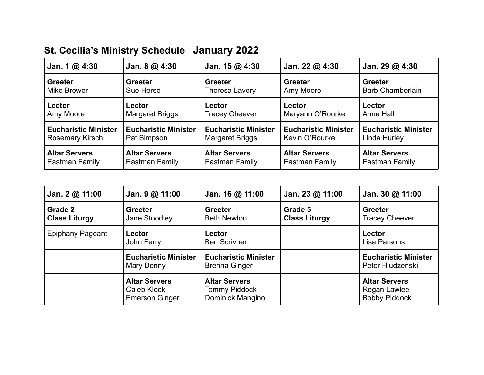## **St. Cecilia's Ministry Schedule January 2022**

| Jan. 1 $@$ 4:30                      | Jan. $8@4:30$               | Jan. $15@4:30$                                                  | Jan. 22 $@$ 4:30            | Jan. 29 $@$ 4:30                          |
|--------------------------------------|-----------------------------|-----------------------------------------------------------------|-----------------------------|-------------------------------------------|
| <b>Greeter</b><br><b>Mike Brewer</b> | <b>Greeter</b><br>Sue Herse | <b>Greeter</b><br><b>Greeter</b><br>Amy Moore<br>Theresa Lavery |                             | <b>Greeter</b><br><b>Barb Chamberlain</b> |
| Lector                               | Lector                      | Lector                                                          | Lector                      | Lector                                    |
| Amy Moore                            | <b>Margaret Briggs</b>      | <b>Tracey Cheever</b>                                           | Maryann O'Rourke            | Anne Hall                                 |
| <b>Eucharistic Minister</b>          | <b>Eucharistic Minister</b> | <b>Eucharistic Minister</b>                                     | <b>Eucharistic Minister</b> | <b>Eucharistic Minister</b>               |
| Rosemary Kirsch                      | Pat Simpson                 | <b>Margaret Briggs</b>                                          | Kevin O'Rourke              | Linda Hurley                              |
| <b>Altar Servers</b>                 | <b>Altar Servers</b>        | <b>Altar Servers</b>                                            | <b>Altar Servers</b>        | <b>Altar Servers</b>                      |
| Eastman Family                       | Eastman Family              | Eastman Family                                                  | <b>Eastman Family</b>       | Eastman Family                            |

| Jan. $2@11:00$                                                                                             | Jan. $9@11:00$                                               | Jan. 16 $@$ 11:00                                                | Jan. 23 $@$ 11:00               | Jan. 30 $@$ 11:00                                            |  |
|------------------------------------------------------------------------------------------------------------|--------------------------------------------------------------|------------------------------------------------------------------|---------------------------------|--------------------------------------------------------------|--|
| Grade 2<br><b>Greeter</b><br><b>Greeter</b><br><b>Class Liturgy</b><br><b>Beth Newton</b><br>Jane Stoodley |                                                              |                                                                  | Grade 5<br><b>Class Liturgy</b> | <b>Greeter</b><br><b>Tracey Cheever</b>                      |  |
| <b>Epiphany Pageant</b><br>Lector<br>John Ferry                                                            |                                                              | Lector<br><b>Ben Scrivner</b>                                    |                                 | Lector<br>Lisa Parsons                                       |  |
|                                                                                                            | <b>Eucharistic Minister</b><br>Mary Denny                    | <b>Eucharistic Minister</b><br><b>Brenna Ginger</b>              |                                 | <b>Eucharistic Minister</b><br>Peter Hludzenski              |  |
|                                                                                                            | <b>Altar Servers</b><br>Caleb Klock<br><b>Emerson Ginger</b> | <b>Altar Servers</b><br><b>Tommy Piddock</b><br>Dominick Mangino |                                 | <b>Altar Servers</b><br>Regan Lawlee<br><b>Bobby Piddock</b> |  |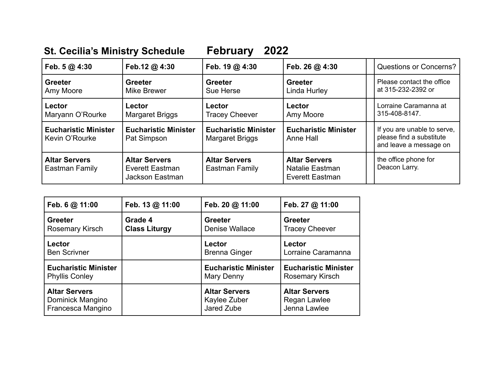## **St. Cecilia's Ministry Schedule February 2022**

| Feb. $5@4:30$                                 | Feb.12 @ 4:30                                              | Feb. 19 @ 4:30                                        | Feb. 26 $@$ 4:30                                                  | <b>Questions or Concerns?</b>                                                     |  |
|-----------------------------------------------|------------------------------------------------------------|-------------------------------------------------------|-------------------------------------------------------------------|-----------------------------------------------------------------------------------|--|
| <b>Greeter</b><br>Amy Moore                   | <b>Greeter</b><br><b>Mike Brewer</b>                       | <b>Greeter</b><br>Sue Herse                           | <b>Greeter</b><br>Linda Hurley                                    | Please contact the office<br>at 315-232-2392 or                                   |  |
| Lector<br>Maryann O'Rourke                    | Lector<br>Margaret Briggs                                  | Lector<br><b>Tracey Cheever</b>                       | Lector<br>Amy Moore                                               | Lorraine Caramanna at<br>315-408-8147.                                            |  |
| <b>Eucharistic Minister</b><br>Kevin O'Rourke | <b>Eucharistic Minister</b><br>Pat Simpson                 | <b>Eucharistic Minister</b><br><b>Margaret Briggs</b> | <b>Eucharistic Minister</b><br>Anne Hall                          | If you are unable to serve,<br>please find a substitute<br>and leave a message on |  |
| <b>Altar Servers</b><br>Eastman Family        | <b>Altar Servers</b><br>Everett Eastman<br>Jackson Eastman | <b>Altar Servers</b><br>Eastman Family                | <b>Altar Servers</b><br>Natalie Eastman<br><b>Everett Eastman</b> | the office phone for<br>Deacon Larry.                                             |  |

| Feb. 6 @ 11:00              | Feb. 13 @ 11:00      | Feb. 20 @ 11:00             | Feb. 27 @ 11:00             |
|-----------------------------|----------------------|-----------------------------|-----------------------------|
| <b>Greeter</b>              | Grade 4              | <b>Greeter</b>              | <b>Greeter</b>              |
| <b>Rosemary Kirsch</b>      | <b>Class Liturgy</b> | Denise Wallace              | <b>Tracey Cheever</b>       |
| Lector                      |                      | Lector                      | Lector                      |
| <b>Ben Scrivner</b>         |                      | <b>Brenna Ginger</b>        | Lorraine Caramanna          |
| <b>Eucharistic Minister</b> |                      | <b>Eucharistic Minister</b> | <b>Eucharistic Minister</b> |
| <b>Phyllis Conley</b>       |                      | Mary Denny                  | <b>Rosemary Kirsch</b>      |
| <b>Altar Servers</b>        |                      | <b>Altar Servers</b>        | <b>Altar Servers</b>        |
| Dominick Mangino            |                      | Kaylee Zuber                | Regan Lawlee                |
| Francesca Mangino           |                      | Jared Zube                  | Jenna Lawlee                |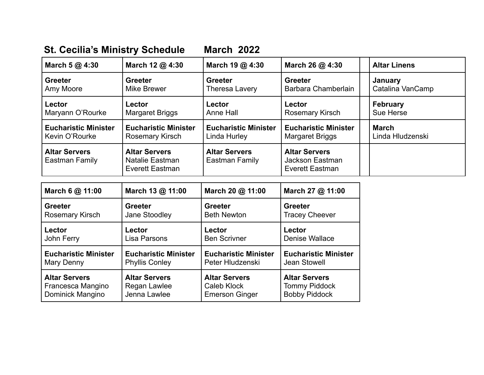## **St. Cecilia's Ministry Schedule March 2022**

| March 5 @ 4:30                         | March 12 @ 4:30                                            | March 19 @ 4:30                        | March 26 @ 4:30                                            | <b>Altar Linens</b> |
|----------------------------------------|------------------------------------------------------------|----------------------------------------|------------------------------------------------------------|---------------------|
| <b>Greeter</b>                         | <b>Greeter</b>                                             | <b>Greeter</b>                         | <b>Greeter</b>                                             | January             |
| Amy Moore                              | Mike Brewer                                                | Theresa Lavery                         | Barbara Chamberlain                                        | Catalina VanCamp    |
| Lector                                 | Lector                                                     | Lector                                 | Lector                                                     | <b>February</b>     |
| Maryann O'Rourke                       | <b>Margaret Briggs</b>                                     | Anne Hall                              | <b>Rosemary Kirsch</b>                                     | Sue Herse           |
| <b>Eucharistic Minister</b>            | <b>Eucharistic Minister</b>                                | <b>Eucharistic Minister</b>            | <b>Eucharistic Minister</b>                                | <b>March</b>        |
| Kevin O'Rourke                         | Rosemary Kirsch                                            | Linda Hurley                           | Margaret Briggs                                            | Linda Hludzenski    |
| <b>Altar Servers</b><br>Eastman Family | <b>Altar Servers</b><br>Natalie Eastman<br>Everett Eastman | <b>Altar Servers</b><br>Eastman Family | <b>Altar Servers</b><br>Jackson Eastman<br>Everett Eastman |                     |

| March 6 @ 11:00             | March 13 @ 11:00            | March 20 @ 11:00            | March 27 @ 11:00            |
|-----------------------------|-----------------------------|-----------------------------|-----------------------------|
| <b>Greeter</b>              | <b>Greeter</b>              | <b>Greeter</b>              | <b>Greeter</b>              |
| <b>Rosemary Kirsch</b>      | Jane Stoodley               | <b>Beth Newton</b>          | <b>Tracey Cheever</b>       |
| Lector                      | Lector                      | Lector                      | Lector                      |
| John Ferry                  | Lisa Parsons                | <b>Ben Scrivner</b>         | Denise Wallace              |
| <b>Eucharistic Minister</b> | <b>Eucharistic Minister</b> | <b>Eucharistic Minister</b> | <b>Eucharistic Minister</b> |
| Mary Denny                  | <b>Phyllis Conley</b>       | Peter Hludzenski            | Jean Stowell                |
| <b>Altar Servers</b>        | <b>Altar Servers</b>        | <b>Altar Servers</b>        | <b>Altar Servers</b>        |
| Francesca Mangino           | Regan Lawlee                | Caleb Klock                 | <b>Tommy Piddock</b>        |
| Dominick Mangino            | Jenna Lawlee                | <b>Emerson Ginger</b>       | <b>Bobby Piddock</b>        |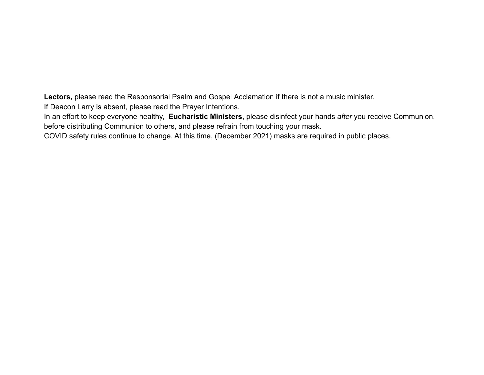**Lectors,** please read the Responsorial Psalm and Gospel Acclamation if there is not a music minister.

If Deacon Larry is absent, please read the Prayer Intentions.

In an effort to keep everyone healthy, **Eucharistic Ministers**, please disinfect your hands *after* you receive Communion, before distributing Communion to others, and please refrain from touching your mask.

COVID safety rules continue to change. At this time, (December 2021) masks are required in public places.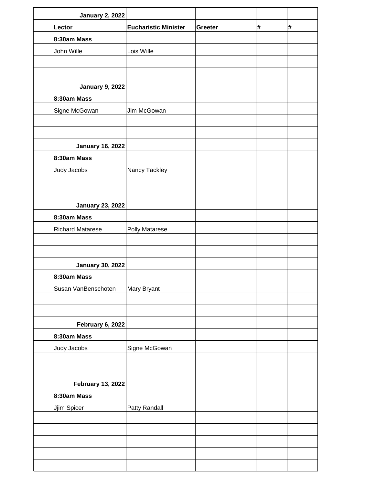| <b>Eucharistic Minister</b> | Greeter                                        | # | $\pmb{\#}$ |
|-----------------------------|------------------------------------------------|---|------------|
|                             |                                                |   |            |
| Lois Wille                  |                                                |   |            |
|                             |                                                |   |            |
|                             |                                                |   |            |
|                             |                                                |   |            |
|                             |                                                |   |            |
| Jim McGowan                 |                                                |   |            |
|                             |                                                |   |            |
|                             |                                                |   |            |
|                             |                                                |   |            |
|                             |                                                |   |            |
| Nancy Tackley               |                                                |   |            |
|                             |                                                |   |            |
|                             |                                                |   |            |
|                             |                                                |   |            |
|                             |                                                |   |            |
|                             |                                                |   |            |
|                             |                                                |   |            |
|                             |                                                |   |            |
|                             |                                                |   |            |
|                             |                                                |   |            |
|                             |                                                |   |            |
|                             |                                                |   |            |
|                             |                                                |   |            |
|                             |                                                |   |            |
|                             |                                                |   |            |
| Signe McGowan               |                                                |   |            |
|                             |                                                |   |            |
|                             |                                                |   |            |
|                             |                                                |   |            |
|                             |                                                |   |            |
|                             |                                                |   |            |
|                             |                                                |   |            |
|                             |                                                |   |            |
|                             |                                                |   |            |
|                             |                                                |   |            |
|                             |                                                |   |            |
|                             | Polly Matarese<br>Mary Bryant<br>Patty Randall |   |            |